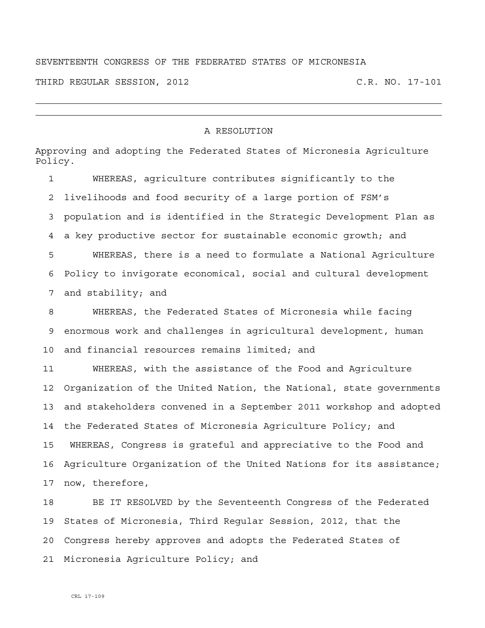## SEVENTEENTH CONGRESS OF THE FEDERATED STATES OF MICRONESIA

THIRD REGULAR SESSION, 2012 C.R. NO. 17-101

## A RESOLUTION

Approving and adopting the Federated States of Micronesia Agriculture Policy.

1 WHEREAS, agriculture contributes significantly to the 2 livelihoods and food security of a large portion of FSM's 3 population and is identified in the Strategic Development Plan as 4 a key productive sector for sustainable economic growth; and 5 WHEREAS, there is a need to formulate a National Agriculture 6 Policy to invigorate economical, social and cultural development 7 and stability; and

8 WHEREAS, the Federated States of Micronesia while facing 9 enormous work and challenges in agricultural development, human 10 and financial resources remains limited; and

11 WHEREAS, with the assistance of the Food and Agriculture 12 Organization of the United Nation, the National, state governments 13 and stakeholders convened in a September 2011 workshop and adopted 14 the Federated States of Micronesia Agriculture Policy; and 15 WHEREAS, Congress is grateful and appreciative to the Food and 16 Agriculture Organization of the United Nations for its assistance; 17 now, therefore,

18 BE IT RESOLVED by the Seventeenth Congress of the Federated 19 States of Micronesia, Third Regular Session, 2012, that the 20 Congress hereby approves and adopts the Federated States of 21 Micronesia Agriculture Policy; and